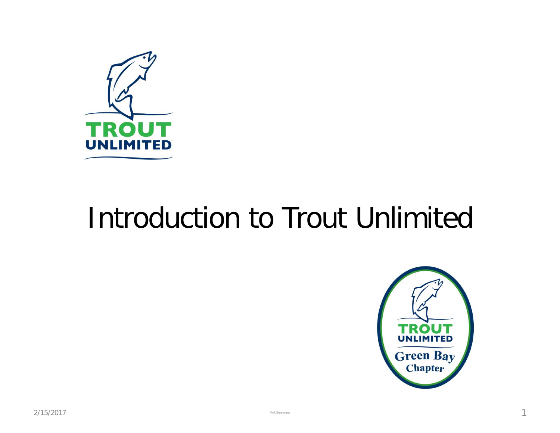

## Introduction to Trout Unlimited

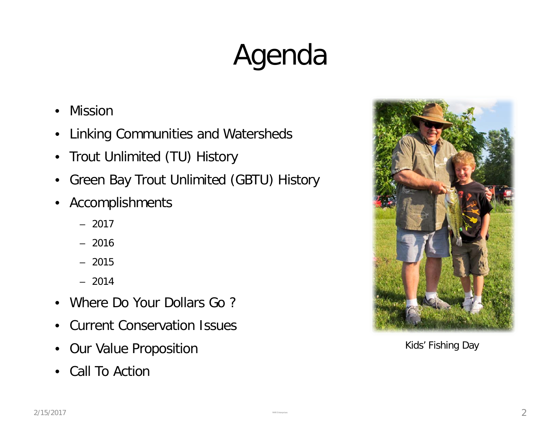# Agenda

- Mission
- Linking Communities and Watersheds
- Trout Unlimited (TU) History
- Green Bay Trout Unlimited (GBTU) History
- Accomplishments
	- 2017
	- 2016
	- 2015
	- 2014
- Where Do Your Dollars Go ?
- Current Conservation Issues
- Our Value Proposition
- Call To Action



Kids' Fishing Day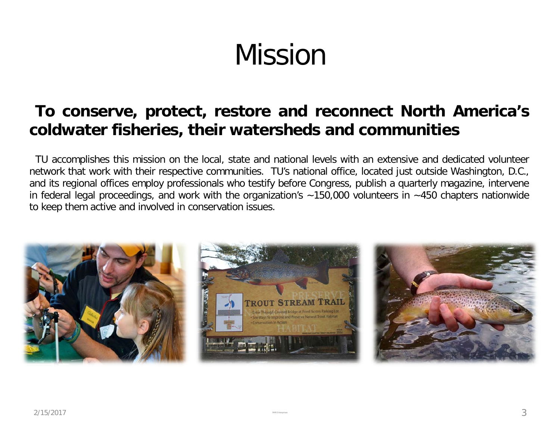# Mission

#### **To conserve, protect, restore and reconnect North America's coldwater fisheries, their watersheds and communities**

TU accomplishes this mission on the local, state and national levels with an extensive and dedicated volunteer network that work with their respective communities. TU's national office, located just outside Washington, D.C., and its regional offices employ professionals who testify before Congress, publish a quarterly magazine, intervene in federal legal proceedings, and work with the organization's  $~150,000$  volunteers in  $~150$  chapters nationwide to keep them active and involved in conservation issues.

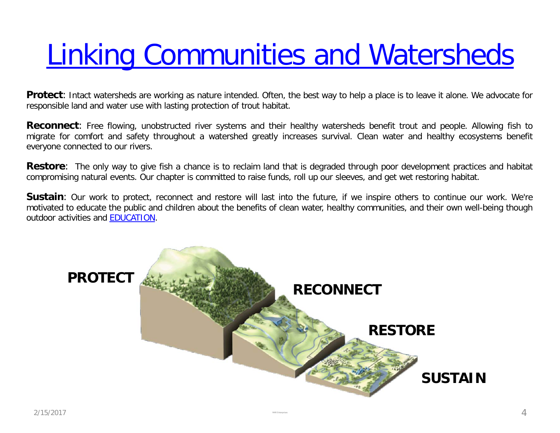# [Linking Communities and Watersheds](http://www.greenbaytu.org/about)

**Protect**: Intact watersheds are working as nature intended. Often, the best way to help a place is to leave it alone. We advocate for responsible land and water use with lasting protection of trout habitat.

**Reconnect**: Free flowing, unobstructed river systems and their healthy watersheds benefit trout and people. Allowing fish to migrate for comfort and safety throughout a watershed greatly increases survival. Clean water and healthy ecosystems benefit everyone connected to our rivers.

**Restore**: The only way to give fish a chance is to reclaim land that is degraded through poor development practices and habitat compromising natural events. Our chapter is committed to raise funds, roll up our sleeves, and get wet restoring habitat.

**Sustain**: Our work to protect, reconnect and restore will last into the future, if we inspire others to continue our work. We're motivated to educate the public and children about the benefits of clean water, healthy communities, and their own well-being though outdoor activities and [EDUCATION](http://greenbaytu.org/education/).

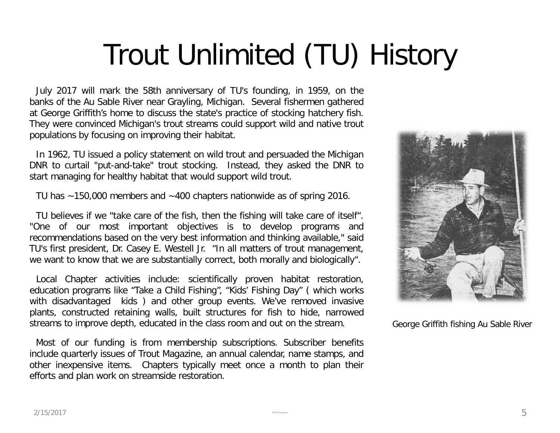# Trout Unlimited (TU) History

July 2017 will mark the 58th anniversary of TU's founding, in 1959, on the banks of the Au Sable River near Grayling, Michigan. Several fishermen gathered at George Griffith's home to discuss the state's practice of stocking hatchery fish. They were convinced Michigan's trout streams could support wild and native trout populations by focusing on improving their habitat.

In 1962, TU issued a policy statement on wild trout and persuaded the Michigan DNR to curtail "put-and-take" trout stocking. Instead, they asked the DNR to start managing for healthy habitat that would support wild trout.

TU has ~150,000 members and ~400 chapters nationwide as of spring 2016.

TU believes if we "take care of the fish, then the fishing will take care of itself". "One of our most important objectives is to develop programs and recommendations based on the very best information and thinking available," said TU's first president, Dr. Casey E. Westell Jr. "In all matters of trout management, we want to know that we are substantially correct, both morally and biologically".

Local Chapter activities include: scientifically proven habitat restoration, education programs like "Take a Child Fishing", "Kids' Fishing Day" ( which works with disadvantaged kids ) and other group events. We've removed invasive plants, constructed retaining walls, built structures for fish to hide, narrowed streams to improve depth, educated in the class room and out on the stream.

Most of our funding is from membership subscriptions. Subscriber benefits include quarterly issues of Trout Magazine, an annual calendar, name stamps, and other inexpensive items. Chapters typically meet once a month to plan their efforts and plan work on streamside restoration.



George Griffith fishing Au Sable River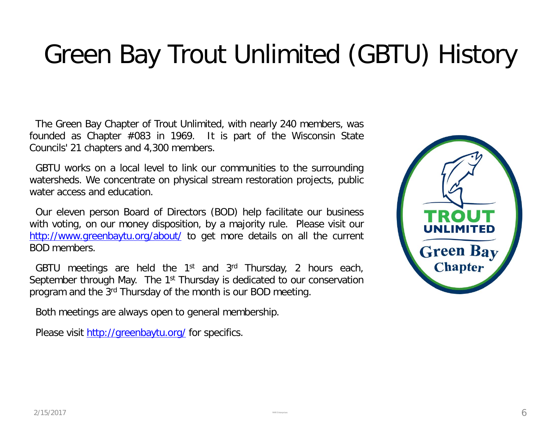## Green Bay Trout Unlimited (GBTU) History

The Green Bay Chapter of Trout Unlimited, with nearly 240 members, was founded as Chapter #083 in 1969. It is part of the Wisconsin State Councils' 21 chapters and 4,300 members.

GBTU works on a local level to link our communities to the surrounding watersheds. We concentrate on physical stream restoration projects, public water access and education.

Our eleven person Board of Directors (BOD) help facilitate our business with voting, on our money disposition, by a majority rule. Please visit our <http://www.greenbaytu.org/about/> to get more details on all the current BOD members.

GBTU meetings are held the  $1<sup>st</sup>$  and  $3<sup>rd</sup>$  Thursday, 2 hours each, September through May. The 1<sup>st</sup> Thursday is dedicated to our conservation program and the 3rd Thursday of the month is our BOD meeting.

Both meetings are always open to general membership.

Please visit <http://greenbaytu.org/> for specifics.

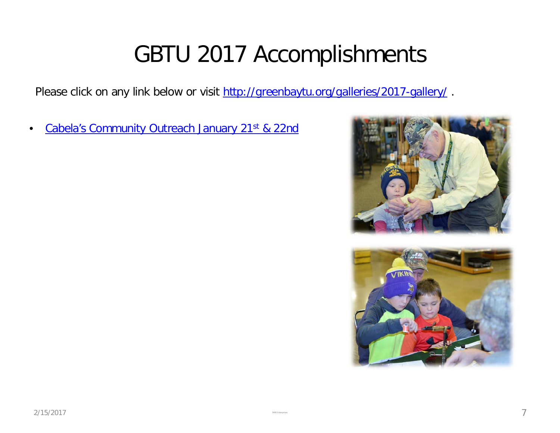### GBTU 2017 Accomplishments

Please click on any link below or visit<http://greenbaytu.org/galleries/2017-gallery/>.

[Cabela's](http://greenbaytu.org/galleries/2017-gallery/gbtu-cabelas-fly-tying-jan-2017/) Community Outreach January 21<sup>st</sup> [& 22nd](http://greenbaytu.org/galleries/2017-gallery/gbtu-cabelas-fly-tying-jan-2017/)



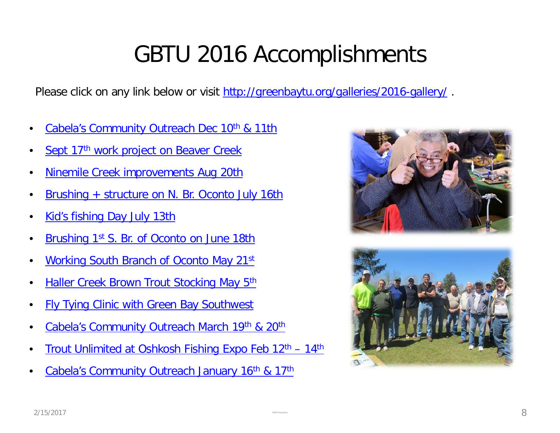## GBTU 2016 Accomplishments

Please click on any link below or visit<http://greenbaytu.org/galleries/2016-gallery/>.

- [Cabela's](http://greenbaytu.org/galleries/2016-gallery/cabelas-community-outreach-dec-2016/) Community Outreach Dec 10<sup>th</sup> [& 11th](http://greenbaytu.org/galleries/2016-gallery/cabelas-community-outreach-dec-2016/)
- Sept 17<sup>th</sup> [work project on Beaver Creek](http://greenbaytu.org/article/september-17th-2016-wpr/)
- [Ninemile](http://greenbaytu.org/galleries/2016-gallery/aug-20th-2016-work-project/) [Creek improvements Aug 20th](http://greenbaytu.org/galleries/2016-gallery/aug-20th-2016-work-project/)
- [Brushing + structure on N. Br. Oconto July 16th](http://greenbaytu.org/galleries/2016-gallery/july-16th-2016-work-project/)
- [Kid's fishing Day July 13th](http://greenbaytu.org/galleries/2016-gallery/kids-fishing-day-2016/)
- [Brushing 1st](http://greenbaytu.org/galleries/2016-gallery/june-18th-2016-work-project/) [S. Br. of Oconto on June 18th](http://greenbaytu.org/galleries/2016-gallery/june-18th-2016-work-project/)
- [Working South Branch of Oconto May 21st](http://greenbaytu.org/galleries/2016-gallery/may-21st-2016-work-project/)
- **[Haller Creek Brown Trout Stocking May 5th](http://greenbaytu.org/outreach/haller-creek-trout-stocking-recap/)**
- [Fly Tying Clinic with Green Bay Southwest](http://greenbaytu.org/article/fly-tying-with-gb-southwest-h-s/)
- [Cabela's](http://greenbaytu.org/article/cabelas-community-outreach/) [Community Outreach March 19th](http://greenbaytu.org/article/cabelas-community-outreach/) [& 20th](http://greenbaytu.org/article/cabelas-community-outreach/)
- Trout Unlimited at Oshkosh Fishing Expo Feb 12<sup>th</sup> 14<sup>th</sup>
- [Cabela's](http://greenbaytu.org/article/jan-community-outreach-at-cabelas/) [Community Outreach January 16th](http://greenbaytu.org/article/jan-community-outreach-at-cabelas/) [& 17th](http://greenbaytu.org/article/jan-community-outreach-at-cabelas/)



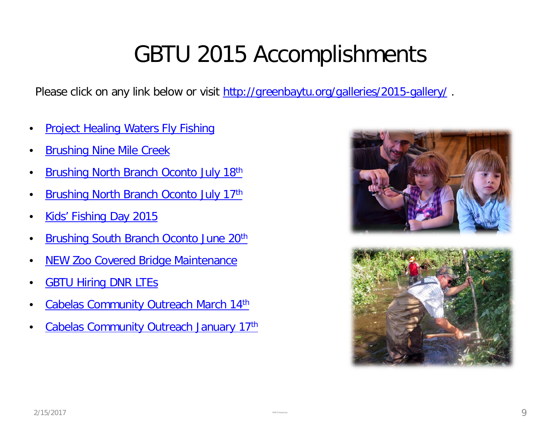## GBTU 2015 Accomplishments

Please click on any link below or visit<http://greenbaytu.org/galleries/2015-gallery/>.

- [Project Healing Waters Fly Fishing](http://greenbaytu.org/article/phwff-gbtu-kickoff-meeting/)
- **[Brushing Nine Mile Creek](http://greenbaytu.org/article/brushing-nilemile-aug-15th/)**
- **[Brushing North Branch Oconto July 18th](http://greenbaytu.org/article/brushing-n-br-oconto-july-18th/)**
- [Brushing North Branch Oconto July 17th](http://greenbaytu.org/article/brushing-n-br-oconto-july-17th/)
- [Kids' Fishing Day 2015](http://greenbaytu.org/work-project/kids-fishing-day-july-8th/)
- **[Brushing South Branch Oconto June 20th](http://greenbaytu.org/article/brush-bundling-on-south-branch-oconto-june-20th/)**
- **[NEW Zoo Covered Bridge Maintenance](http://greenbaytu.org/article/gbtu-paints-covered-bridge-on-education-trail/)**
- **GBTU Hiring DNR LTES**
- [Cabelas Community Outreach March 14th](http://greenbaytu.org/outreach/march-fly-tying-at-cabelas/)
- [Cabelas Community Outreach January 17th](http://greenbaytu.org/article/2015-jan-17th-cabelas-community-outreach/)



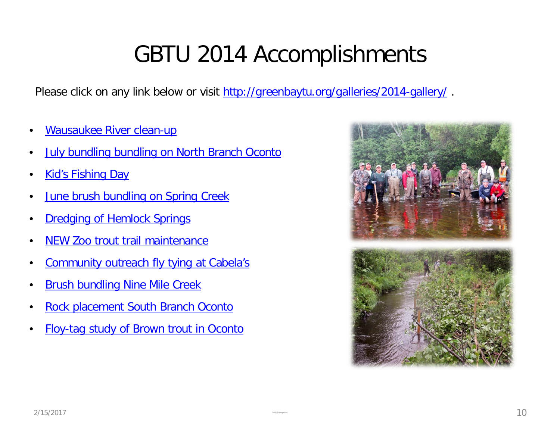## GBTU 2014 Accomplishments

Please click on any link below or visit<http://greenbaytu.org/galleries/2014-gallery/>.

- [Wausaukee River clean-up](http://greenbaytu.org/article/wausaukee-river-cleanup/)
- **[July bundling bundling on North Branch Oconto](http://greenbaytu.org/article/2014-jul-19-north-branch-oconto/)**
- **[Kid's Fishing Day](http://greenbaytu.org/article/2014-jul-9-kids-fishing-day/)**
- **[June brush bundling on Spring Creek](http://greenbaytu.org/article/2014-jun-21-spring-creek/)**
- **[Dredging of Hemlock Springs](http://greenbaytu.org/article/14-jun-4-dredging-of-hemlock-springs/)**
- [NEW Zoo trout trail maintenance](http://greenbaytu.org/article/2014-may-17-trout-trail-cleanup/)
- [Community outreach fly tying at Cabela's](http://greenbaytu.org/article/2014-mar-1-cabelas-community-outreach/)
- [Brush bundling Nine Mile Creek](http://greenbaytu.org/article/2013-aug-17-ninemile-creek/)
- [Rock placement South Branch Oconto](http://greenbaytu.org/article/2013-may-18-1st-s-branch-oconto/)
- [Floy-tag study of Brown trout in Oconto](http://greenbaytu.org/article/2013-may-8-floy-tagging/)

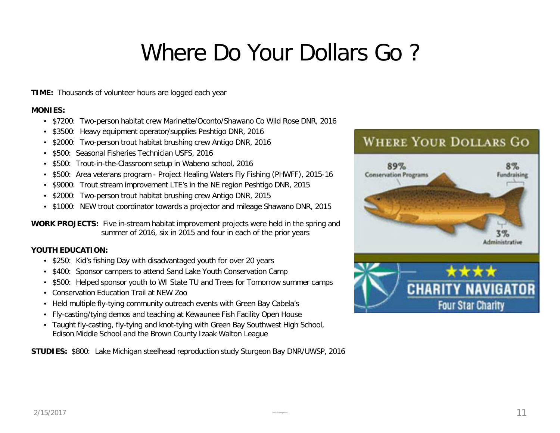### Where Do Your Dollars Go ?

**TIME:** Thousands of volunteer hours are logged each year

#### **MONIES:**

- \$7200: Two-person habitat crew Marinette/Oconto/Shawano Co Wild Rose DNR, 2016
- \$3500: Heavy equipment operator/supplies Peshtigo DNR, 2016
- \$2000: Two-person trout habitat brushing crew Antigo DNR, 2016
- \$500: Seasonal Fisheries Technician USFS, 2016
- \$500: Trout-in-the-Classroom setup in Wabeno school, 2016
- \$500: Area veterans program Project Healing Waters Fly Fishing (PHWFF), 2015-16
- \$9000: Trout stream improvement LTE's in the NE region Peshtigo DNR, 2015
- \$2000: Two-person trout habitat brushing crew Antigo DNR, 2015
- \$1000: NEW trout coordinator towards a projector and mileage Shawano DNR, 2015

**WORK PROJECTS:** Five in-stream habitat improvement projects were held in the spring and summer of 2016, six in 2015 and four in each of the prior years

#### **YOUTH EDUCATION:**

- \$250: Kid's fishing Day with disadvantaged youth for over 20 years
- \$400: Sponsor campers to attend Sand Lake Youth Conservation Camp
- \$500: Helped sponsor youth to WI State TU and Trees for Tomorrow summer camps
- Conservation Education Trail at NEW Zoo
- Held multiple fly-tying community outreach events with Green Bay Cabela's
- Fly-casting/tying demos and teaching at Kewaunee Fish Facility Open House
- Taught fly-casting, fly-tying and knot-tying with Green Bay Southwest High School, Edison Middle School and the Brown County Izaak Walton League

**STUDIES:** \$800: Lake Michigan steelhead reproduction study Sturgeon Bay DNR/UWSP, 2016

#### **WHERE YOUR DOLLARS GO**

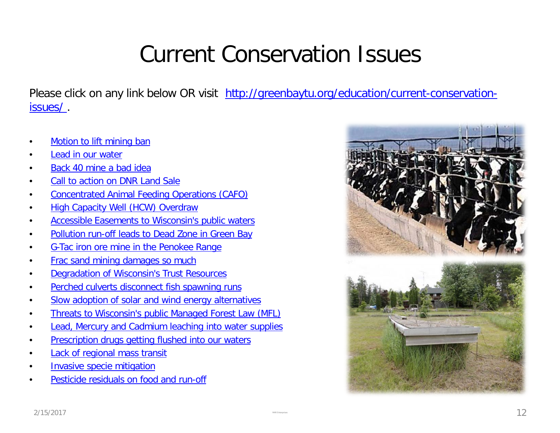## Current Conservation Issues

Please click on any link below OR visit [http://greenbaytu.org/education/current-conservation](http://greenbaytu.org/education/current-conservation-issues/)[issues/ .](http://greenbaytu.org/education/current-conservation-issues/)

- [Motion to lift mining ban](http://woodsperson.blogspot.com/2017/01/wisconsin-state-senator-tom-tiffany.html)
- [Lead in our water](http://conservationvoters.org/unfiltered/levels-worse-than-flint/)
- [Back 40 mine a bad idea](http://www.menominee-nsn.gov/GovernmentPages/Initiatives/Back40Mine/Back40Mine.aspx)
- [Call to action on DNR Land Sale](http://greenbaytu.org/education/current-conservation-issues/concentrated-animal-feeding-operation-cafo/)
- [Concentrated Animal Feeding Operations \(CAFO\)](http://greenbaytu.org/education/current-conservation-issues/concentrated-animal-feeding-operation-cafo/)
- [High Capacity Well \(HCW\) Overdraw](http://greenbaytu.org/wp-content/uploads/2015/03/gwpumpcentralsands2010.pdf)
- [Accessible Easements to Wisconsin's public waters](http://dnr.wi.gov/topic/Waterways/about_us/doctrine.htm)
- [Pollution run-off leads to](http://www.jsonline.com/news/wisconsin/dead-zones-haunt-green-bay-as-manure-fuels-algae-blooms-die-offs-b99344902z1-274684741.html) [Dead Zone in Green Bay](http://www.jsonline.com/news/wisconsin/dead-zones-haunt-green-bay-as-manure-fuels-algae-blooms-die-offs-b99344902z1-274684741.html)
- [G-Tac](http://www.nature.org/ourinitiatives/regions/northamerica/unitedstates/wisconsin/mining-in-the-penokee-gogebic-range-whats-at-risk.xml) [iron ore mine in the Penokee](http://www.nature.org/ourinitiatives/regions/northamerica/unitedstates/wisconsin/mining-in-the-penokee-gogebic-range-whats-at-risk.xml) [Range](http://www.nature.org/ourinitiatives/regions/northamerica/unitedstates/wisconsin/mining-in-the-penokee-gogebic-range-whats-at-risk.xml)
- [Frac](http://conservationvoters.org/issues/frac-sand-mining/) [sand mining damages so much](http://conservationvoters.org/issues/frac-sand-mining/)
- [Degradation of Wisconsin's Trust Resources](http://greatlakeslegalfoundation.org/wwcms/wp-content/uploads/2012/09/Scanlan_The_Evolution_of_the_Public_Trust_Doctrine_and_the_Degradation_of_Trust_Resources.pdf)
- [Perched culverts disconnect fish spawning runs](http://www.orvis.com/intro.aspx?subject=9848)
- [Slow adoption of solar and wind energy alternatives](http://www.usda.gov/oce/reports/energy/WindSolar_Web_08162013.pdf)
- [Threats to Wisconsin's public Managed Forest Law \(MFL\)](http://dnr.wi.gov/topic/ForestLandowners/tax.html)
- **[Lead, Mercury and Cadmium leaching into water supplies](http://www.nrdc.org/enterprise/greeningadvisor/wm-disposal.asp)**
- [Prescription drugs getting flushed into our waters](http://www.foxnews.com/story/2008/03/10/study-finds-traces-drugs-in-drinking-water-in-24-major-us-regions/)
- **[Lack of regional mass transit](http://transitized.com/2014/05/21/lack-transportation-options-causing-brain-drain-wisconsin-losing-young-people/)**
- [Invasive specie mitigation](http://dnr.wi.gov/topic/Invasives/)
- [Pesticide residuals on food and run-off](http://en.wikipedia.org/wiki/Environmental_impact_of_pesticides)

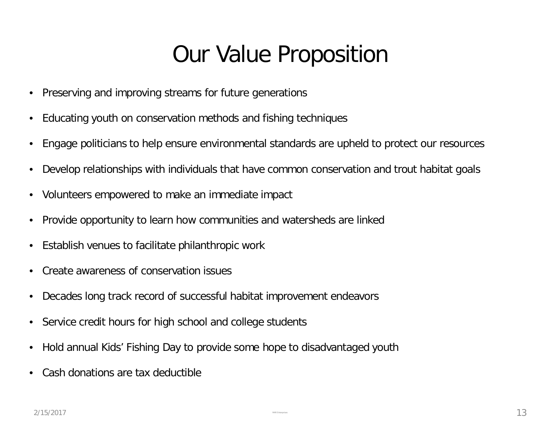#### Our Value Proposition

- Preserving and improving streams for future generations
- Educating youth on conservation methods and fishing techniques
- Engage politicians to help ensure environmental standards are upheld to protect our resources
- Develop relationships with individuals that have common conservation and trout habitat goals
- Volunteers empowered to make an immediate impact
- Provide opportunity to learn how communities and watersheds are linked
- Establish venues to facilitate philanthropic work
- Create awareness of conservation issues
- Decades long track record of successful habitat improvement endeavors
- Service credit hours for high school and college students
- Hold annual Kids' Fishing Day to provide some hope to disadvantaged youth
- Cash donations are tax deductible